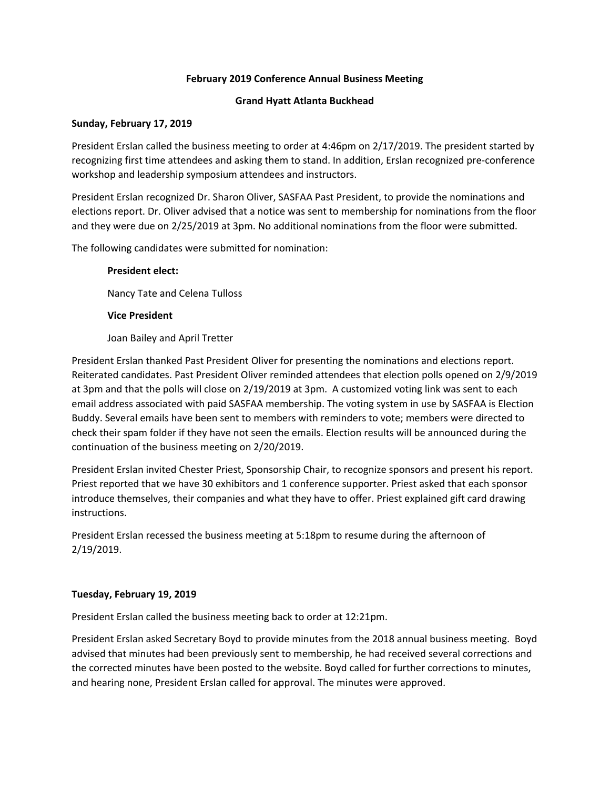## **February 2019 Conference Annual Business Meeting**

## **Grand Hyatt Atlanta Buckhead**

## **Sunday, February 17, 2019**

President Erslan called the business meeting to order at 4:46pm on 2/17/2019. The president started by recognizing first time attendees and asking them to stand. In addition, Erslan recognized pre-conference workshop and leadership symposium attendees and instructors.

President Erslan recognized Dr. Sharon Oliver, SASFAA Past President, to provide the nominations and elections report. Dr. Oliver advised that a notice was sent to membership for nominations from the floor and they were due on 2/25/2019 at 3pm. No additional nominations from the floor were submitted.

The following candidates were submitted for nomination:

## **President elect:**

Nancy Tate and Celena Tulloss

## **Vice President**

Joan Bailey and April Tretter

President Erslan thanked Past President Oliver for presenting the nominations and elections report. Reiterated candidates. Past President Oliver reminded attendees that election polls opened on 2/9/2019 at 3pm and that the polls will close on 2/19/2019 at 3pm. A customized voting link was sent to each email address associated with paid SASFAA membership. The voting system in use by SASFAA is Election Buddy. Several emails have been sent to members with reminders to vote; members were directed to check their spam folder if they have not seen the emails. Election results will be announced during the continuation of the business meeting on 2/20/2019.

President Erslan invited Chester Priest, Sponsorship Chair, to recognize sponsors and present his report. Priest reported that we have 30 exhibitors and 1 conference supporter. Priest asked that each sponsor introduce themselves, their companies and what they have to offer. Priest explained gift card drawing instructions.

President Erslan recessed the business meeting at 5:18pm to resume during the afternoon of 2/19/2019.

#### **Tuesday, February 19, 2019**

President Erslan called the business meeting back to order at 12:21pm.

President Erslan asked Secretary Boyd to provide minutes from the 2018 annual business meeting. Boyd advised that minutes had been previously sent to membership, he had received several corrections and the corrected minutes have been posted to the website. Boyd called for further corrections to minutes, and hearing none, President Erslan called for approval. The minutes were approved.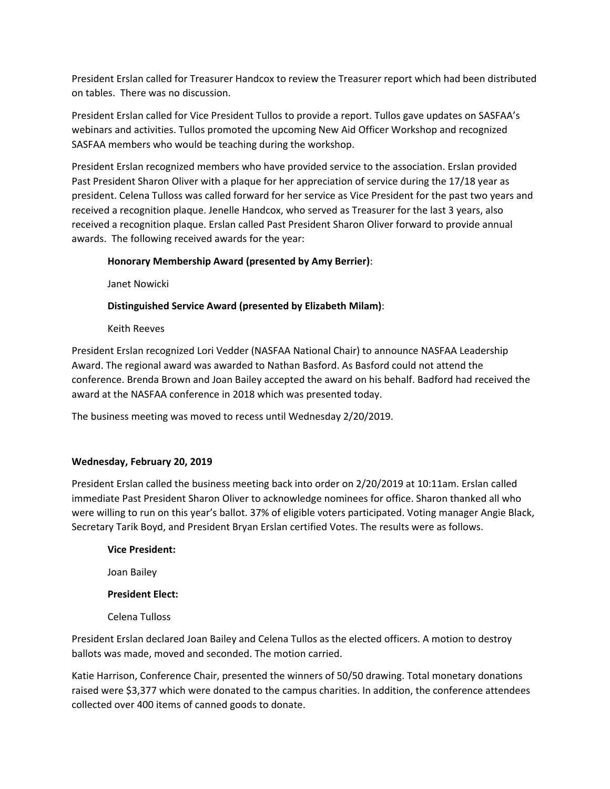President Erslan called for Treasurer Handcox to review the Treasurer report which had been distributed on tables. There was no discussion.

President Erslan called for Vice President Tullos to provide a report. Tullos gave updates on SASFAA's webinars and activities. Tullos promoted the upcoming New Aid Officer Workshop and recognized SASFAA members who would be teaching during the workshop.

President Erslan recognized members who have provided service to the association. Erslan provided Past President Sharon Oliver with a plaque for her appreciation of service during the 17/18 year as president. Celena Tulloss was called forward for her service as Vice President for the past two years and received a recognition plaque. Jenelle Handcox, who served as Treasurer for the last 3 years, also received a recognition plaque. Erslan called Past President Sharon Oliver forward to provide annual awards. The following received awards for the year:

# **Honorary Membership Award (presented by Amy Berrier)**:

Janet Nowicki

# **Distinguished Service Award (presented by Elizabeth Milam)**:

Keith Reeves

President Erslan recognized Lori Vedder (NASFAA National Chair) to announce NASFAA Leadership Award. The regional award was awarded to Nathan Basford. As Basford could not attend the conference. Brenda Brown and Joan Bailey accepted the award on his behalf. Badford had received the award at the NASFAA conference in 2018 which was presented today.

The business meeting was moved to recess until Wednesday 2/20/2019.

## **Wednesday, February 20, 2019**

President Erslan called the business meeting back into order on 2/20/2019 at 10:11am. Erslan called immediate Past President Sharon Oliver to acknowledge nominees for office. Sharon thanked all who were willing to run on this year's ballot. 37% of eligible voters participated. Voting manager Angie Black, Secretary Tarik Boyd, and President Bryan Erslan certified Votes. The results were as follows.

#### **Vice President:**

Joan Bailey

## **President Elect:**

Celena Tulloss

President Erslan declared Joan Bailey and Celena Tullos as the elected officers. A motion to destroy ballots was made, moved and seconded. The motion carried.

Katie Harrison, Conference Chair, presented the winners of 50/50 drawing. Total monetary donations raised were \$3,377 which were donated to the campus charities. In addition, the conference attendees collected over 400 items of canned goods to donate.